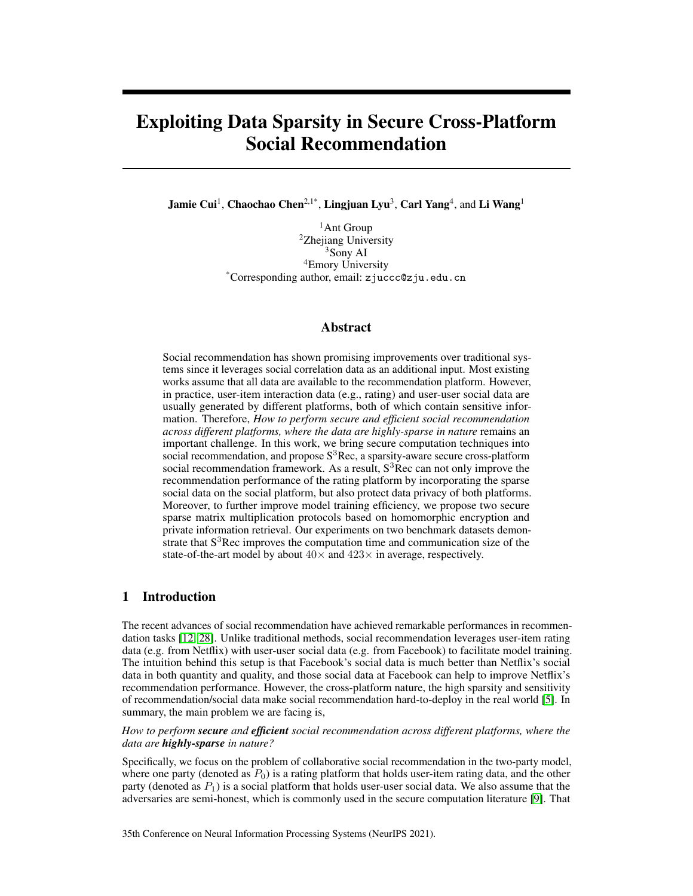# Exploiting Data Sparsity in Secure Cross-Platform Social Recommendation

Jamie Cui<sup>1</sup>, Chaochao Chen<sup>2,1\*</sup>, Lingjuan Lyu<sup>3</sup>, Carl Yang<sup>4</sup>, and Li Wang<sup>1</sup>

<sup>1</sup>Ant Group <sup>2</sup>Zhejiang University <sup>3</sup>Sony AI <sup>4</sup>Emory University \*Corresponding author, email: zjuccc@zju.edu.cn

## Abstract

Social recommendation has shown promising improvements over traditional systems since it leverages social correlation data as an additional input. Most existing works assume that all data are available to the recommendation platform. However, in practice, user-item interaction data (e.g., rating) and user-user social data are usually generated by different platforms, both of which contain sensitive information. Therefore, *How to perform secure and efficient social recommendation across different platforms, where the data are highly-sparse in nature* remains an important challenge. In this work, we bring secure computation techniques into social recommendation, and propose  $S<sup>3</sup>$ Rec, a sparsity-aware secure cross-platform social recommendation framework. As a result,  $S<sup>3</sup>$ Rec can not only improve the recommendation performance of the rating platform by incorporating the sparse social data on the social platform, but also protect data privacy of both platforms. Moreover, to further improve model training efficiency, we propose two secure sparse matrix multiplication protocols based on homomorphic encryption and private information retrieval. Our experiments on two benchmark datasets demonstrate that  $S<sup>3</sup>$  Rec improves the computation time and communication size of the state-of-the-art model by about  $40\times$  and  $423\times$  in average, respectively.

# 1 Introduction

The recent advances of social recommendation have achieved remarkable performances in recommendation tasks [\[12,](#page-9-0) [28\]](#page-10-0). Unlike traditional methods, social recommendation leverages user-item rating data (e.g. from Netflix) with user-user social data (e.g. from Facebook) to facilitate model training. The intuition behind this setup is that Facebook's social data is much better than Netflix's social data in both quantity and quality, and those social data at Facebook can help to improve Netflix's recommendation performance. However, the cross-platform nature, the high sparsity and sensitivity of recommendation/social data make social recommendation hard-to-deploy in the real world [\[5\]](#page-9-1). In summary, the main problem we are facing is,

*How to perform secure and efficient social recommendation across different platforms, where the data are highly-sparse in nature?*

Specifically, we focus on the problem of collaborative social recommendation in the two-party model, where one party (denoted as  $P_0$ ) is a rating platform that holds user-item rating data, and the other party (denoted as  $P_1$ ) is a social platform that holds user-user social data. We also assume that the adversaries are semi-honest, which is commonly used in the secure computation literature [\[9\]](#page-9-2). That

35th Conference on Neural Information Processing Systems (NeurIPS 2021).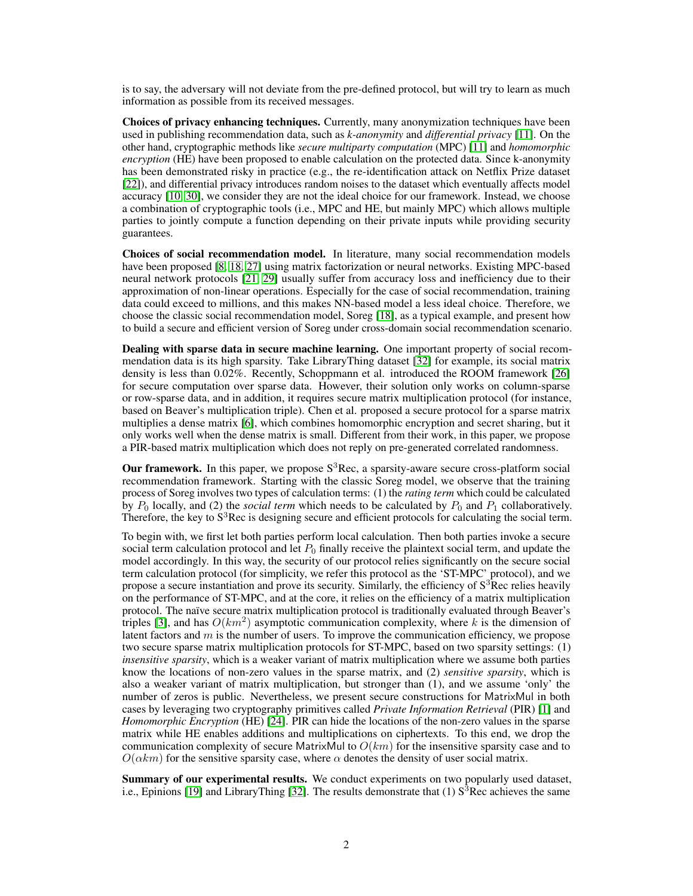is to say, the adversary will not deviate from the pre-defined protocol, but will try to learn as much information as possible from its received messages.

Choices of privacy enhancing techniques. Currently, many anonymization techniques have been used in publishing recommendation data, such as *k-anonymity* and *differential privacy* [\[11\]](#page-9-3). On the other hand, cryptographic methods like *secure multiparty computation* (MPC) [\[11\]](#page-9-3) and *homomorphic encryption* (HE) have been proposed to enable calculation on the protected data. Since k-anonymity has been demonstrated risky in practice (e.g., the re-identification attack on Netflix Prize dataset [\[22\]](#page-10-1)), and differential privacy introduces random noises to the dataset which eventually affects model accuracy [\[10,](#page-9-4) [30\]](#page-10-2), we consider they are not the ideal choice for our framework. Instead, we choose a combination of cryptographic tools (i.e., MPC and HE, but mainly MPC) which allows multiple parties to jointly compute a function depending on their private inputs while providing security guarantees.

Choices of social recommendation model. In literature, many social recommendation models have been proposed [\[8,](#page-9-5) [18,](#page-10-3) [27\]](#page-10-4) using matrix factorization or neural networks. Existing MPC-based neural network protocols [\[21,](#page-10-5) [29\]](#page-10-6) usually suffer from accuracy loss and inefficiency due to their approximation of non-linear operations. Especially for the case of social recommendation, training data could exceed to millions, and this makes NN-based model a less ideal choice. Therefore, we choose the classic social recommendation model, Soreg [\[18\]](#page-10-3), as a typical example, and present how to build a secure and efficient version of Soreg under cross-domain social recommendation scenario.

Dealing with sparse data in secure machine learning. One important property of social recommendation data is its high sparsity. Take LibraryThing dataset [\[32\]](#page-10-7) for example, its social matrix density is less than 0.02%. Recently, Schoppmann et al. introduced the ROOM framework [\[26\]](#page-10-8) for secure computation over sparse data. However, their solution only works on column-sparse or row-sparse data, and in addition, it requires secure matrix multiplication protocol (for instance, based on Beaver's multiplication triple). Chen et al. proposed a secure protocol for a sparse matrix multiplies a dense matrix [\[6\]](#page-9-6), which combines homomorphic encryption and secret sharing, but it only works well when the dense matrix is small. Different from their work, in this paper, we propose a PIR-based matrix multiplication which does not reply on pre-generated correlated randomness.

**Our framework.** In this paper, we propose  $S^3$ Rec, a sparsity-aware secure cross-platform social recommendation framework. Starting with the classic Soreg model, we observe that the training process of Soreg involves two types of calculation terms: (1) the *rating term* which could be calculated by  $P_0$  locally, and (2) the *social term* which needs to be calculated by  $P_0$  and  $P_1$  collaboratively. Therefore, the key to  $S<sup>3</sup>$  Rec is designing secure and efficient protocols for calculating the social term.

To begin with, we first let both parties perform local calculation. Then both parties invoke a secure social term calculation protocol and let  $P_0$  finally receive the plaintext social term, and update the model accordingly. In this way, the security of our protocol relies significantly on the secure social term calculation protocol (for simplicity, we refer this protocol as the 'ST-MPC' protocol), and we propose a secure instantiation and prove its security. Similarly, the efficiency of  $S<sup>3</sup>$ Rec relies heavily on the performance of ST-MPC, and at the core, it relies on the efficiency of a matrix multiplication protocol. The naïve secure matrix multiplication protocol is traditionally evaluated through Beaver's triples [\[3\]](#page-9-7), and has  $O(km^2)$  asymptotic communication complexity, where k is the dimension of latent factors and  $m$  is the number of users. To improve the communication efficiency, we propose two secure sparse matrix multiplication protocols for ST-MPC, based on two sparsity settings: (1) *insensitive sparsity*, which is a weaker variant of matrix multiplication where we assume both parties know the locations of non-zero values in the sparse matrix, and (2) *sensitive sparsity*, which is also a weaker variant of matrix multiplication, but stronger than (1), and we assume 'only' the number of zeros is public. Nevertheless, we present secure constructions for MatrixMul in both cases by leveraging two cryptography primitives called *Private Information Retrieval* (PIR) [\[1\]](#page-9-8) and *Homomorphic Encryption* (HE) [\[24\]](#page-10-9). PIR can hide the locations of the non-zero values in the sparse matrix while HE enables additions and multiplications on ciphertexts. To this end, we drop the communication complexity of secure MatrixMul to  $O(km)$  for the insensitive sparsity case and to  $O(\alpha km)$  for the sensitive sparsity case, where  $\alpha$  denotes the density of user social matrix.

Summary of our experimental results. We conduct experiments on two popularly used dataset, i.e., Epinions [\[19\]](#page-10-10) and LibraryThing [\[32\]](#page-10-7). The results demonstrate that (1)  $S<sup>3</sup>$ Rec achieves the same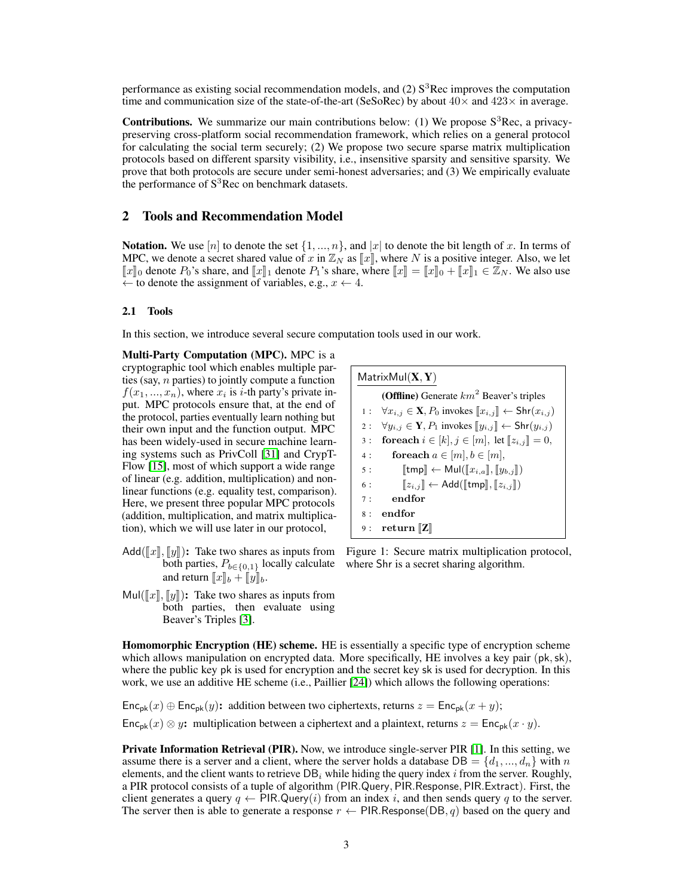performance as existing social recommendation models, and (2)  $S<sup>3</sup>$ Rec improves the computation time and communication size of the state-of-the-art (SeSoRec) by about  $40\times$  and  $423\times$  in average.

**Contributions.** We summarize our main contributions below: (1) We propose  $S^3$ Rec, a privacypreserving cross-platform social recommendation framework, which relies on a general protocol for calculating the social term securely; (2) We propose two secure sparse matrix multiplication protocols based on different sparsity visibility, i.e., insensitive sparsity and sensitive sparsity. We prove that both protocols are secure under semi-honest adversaries; and (3) We empirically evaluate the performance of  $S<sup>3</sup>$ Rec on benchmark datasets.

## 2 Tools and Recommendation Model

**Notation.** We use  $[n]$  to denote the set  $\{1, ..., n\}$ , and  $|x|$  to denote the bit length of x. In terms of MPC, we denote a secret shared value of x in  $\mathbb{Z}_N$  as  $\llbracket x \rrbracket$ , where N is a positive integer. Also, we let  $\llbracket x \rrbracket_0$  denote  $P_0$ 's share, and  $\llbracket x \rrbracket_1$  denote  $P_1$ 's share, where  $\llbracket x \rrbracket = \llbracket x \rrbracket_0 + \llbracket x \rrbracket_1 \in \mathbb{Z}_N$ . We also use  $\leftarrow$  to denote the assignment of variables, e.g.,  $x \leftarrow 4$ .

#### 2.1 Tools

In this section, we introduce several secure computation tools used in our work.

Multi-Party Computation (MPC). MPC is a cryptographic tool which enables multiple parties (say,  $n$  parties) to jointly compute a function  $f(x_1, ..., x_n)$ , where  $x_i$  is *i*-th party's private input. MPC protocols ensure that, at the end of the protocol, parties eventually learn nothing but their own input and the function output. MPC has been widely-used in secure machine learning systems such as PrivColl [\[31\]](#page-10-11) and CrypT-Flow [\[15\]](#page-9-9), most of which support a wide range of linear (e.g. addition, multiplication) and nonlinear functions (e.g. equality test, comparison). Here, we present three popular MPC protocols (addition, multiplication, and matrix multiplication), which we will use later in our protocol,

- Add( $\llbracket x \rrbracket$ ,  $\llbracket y \rrbracket$ ): Take two shares as inputs from both parties,  $P_{b \in \{0,1\}}$  locally calculate and return  $\llbracket x \rrbracket_b + \llbracket y \rrbracket_b$ .
- Mul( $\llbracket x \rrbracket$ ,  $\llbracket y \rrbracket$ ): Take two shares as inputs from both parties, then evaluate using Beaver's Triples [\[3\]](#page-9-7).

<span id="page-2-0"></span>

Figure 1: Secure matrix multiplication protocol, where Shr is a secret sharing algorithm.

Homomorphic Encryption (HE) scheme. HE is essentially a specific type of encryption scheme which allows manipulation on encrypted data. More specifically, HE involves a key pair (pk, sk), where the public key pk is used for encryption and the secret key sk is used for decryption. In this work, we use an additive HE scheme (i.e., Paillier [\[24\]](#page-10-9)) which allows the following operations:

 $Enc_{pk}(x) \oplus Enc_{pk}(y)$ : addition between two ciphertexts, returns  $z = Enc_{pk}(x + y)$ ;  $\mathsf{Enc}_{\mathsf{pk}}(x) \otimes y$ : multiplication between a ciphertext and a plaintext, returns  $z = \mathsf{Enc}_{\mathsf{pk}}(x \cdot y)$ .

Private Information Retrieval (PIR). Now, we introduce single-server PIR [\[1\]](#page-9-8). In this setting, we assume there is a server and a client, where the server holds a database  $DB = \{d_1, ..., d_n\}$  with n elements, and the client wants to retrieve  $DB_i$  while hiding the query index i from the server. Roughly, a PIR protocol consists of a tuple of algorithm (PIR.Query, PIR.Response, PIR.Extract). First, the client generates a query  $q \leftarrow PIR.Query(i)$  from an index i, and then sends query q to the server. The server then is able to generate a response  $r \leftarrow PIR$ . Response(DB, q) based on the query and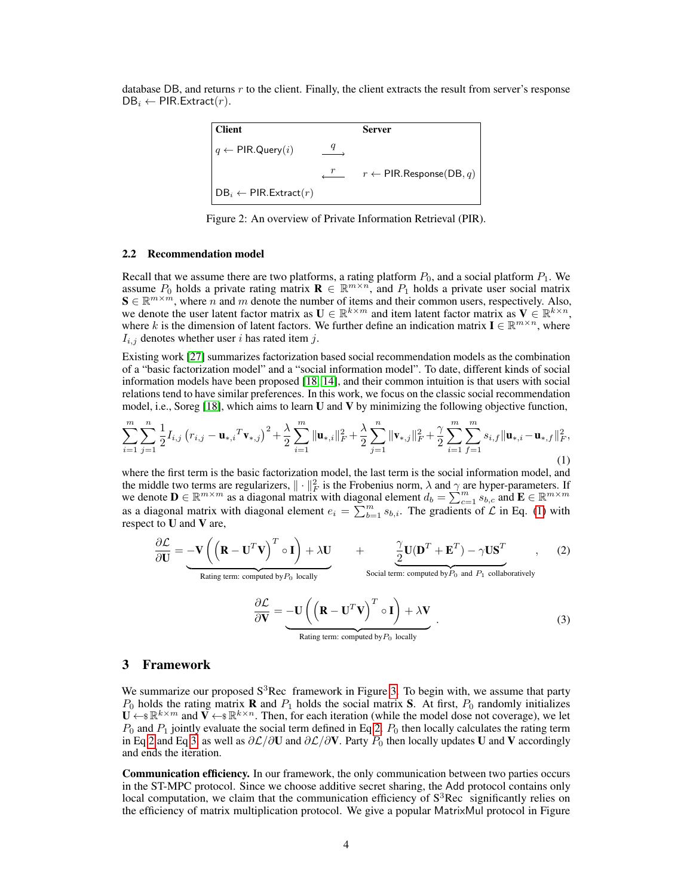database DB, and returns  $r$  to the client. Finally, the client extracts the result from server's response  $DB_i \leftarrow PIR.Extract(r).$ 

$$
\begin{array}{|l|} \hline \textbf{Client} & \textbf{Server} \\[1mm] \hline \begin{array}{cccc} q \leftarrow \text{PIR}.\text{Query}(i) & \xrightarrow{q} & \\ & \xrightarrow{r} & r \leftarrow \text{PIR}.\text{Response}(\text{DB},q) \\[1mm] \text{DB}_i \leftarrow \text{PIR}.\text{Extract}(r) & \end{array} \end{array}
$$

Figure 2: An overview of Private Information Retrieval (PIR).

#### 2.2 Recommendation model

Recall that we assume there are two platforms, a rating platform  $P_0$ , and a social platform  $P_1$ . We assume  $P_0$  holds a private rating matrix  $\mathbf{R} \in \mathbb{R}^{m \times n}$ , and  $P_1$  holds a private user social matrix  $\mathbf{S} \in \mathbb{R}^{m \times m}$ , where n and m denote the number of items and their common users, respectively. Also, we denote the user latent factor matrix as  $\mathbf{U} \in \mathbb{R}^{k \times m}$  and item latent factor matrix as  $\mathbf{V} \in \mathbb{R}^{k \times n}$ , where k is the dimension of latent factors. We further define an indication matrix  $I \in \mathbb{R}^{m \times n}$ , where  $I_{i,j}$  denotes whether user i has rated item j.

Existing work [\[27\]](#page-10-4) summarizes factorization based social recommendation models as the combination of a "basic factorization model" and a "social information model". To date, different kinds of social information models have been proposed [\[18,](#page-10-3) [14\]](#page-9-10), and their common intuition is that users with social relations tend to have similar preferences. In this work, we focus on the classic social recommendation model, i.e., Soreg [\[18\]](#page-10-3), which aims to learn U and V by minimizing the following objective function,

$$
\sum_{i=1}^{m} \sum_{j=1}^{n} \frac{1}{2} I_{i,j} \left( r_{i,j} - \mathbf{u}_{*,i}^T \mathbf{v}_{*,j} \right)^2 + \frac{\lambda}{2} \sum_{i=1}^{m} \|\mathbf{u}_{*,i}\|_F^2 + \frac{\lambda}{2} \sum_{j=1}^{n} \|\mathbf{v}_{*,j}\|_F^2 + \frac{\gamma}{2} \sum_{i=1}^{m} \sum_{f=1}^{m} s_{i,f} \|\mathbf{u}_{*,i} - \mathbf{u}_{*,f}\|_F^2,
$$
\n(1)

where the first term is the basic factorization model, the last term is the social information model, and the middle two terms are regularizers,  $\|\cdot\|_F^2$  is the Frobenius norm,  $\lambda$  and  $\gamma$  are hyper-parameters. If we denote  $\mathbf{D} \in \mathbb{R}^{m \times m}$  as a diagonal matrix with diagonal element  $d_b = \sum_{c=1}^{m} s_{b,c}$  and  $\mathbf{E} \in \mathbb{R}^{m \times m}$ as a diagonal matrix with diagonal element  $e_i = \sum_{b=1}^{m} s_{b,i}$ . The gradients of  $\mathcal{L}$  in Eq. [\(1\)](#page-3-0) with respect to U and V are,

<span id="page-3-2"></span><span id="page-3-1"></span>
$$
\frac{\partial \mathcal{L}}{\partial \mathbf{U}} = -\mathbf{V} \left( \left( \mathbf{R} - \mathbf{U}^T \mathbf{V} \right)^T \circ \mathbf{I} \right) + \lambda \mathbf{U} + \underbrace{\frac{\gamma}{2} \mathbf{U} (\mathbf{D}^T + \mathbf{E}^T) - \gamma \mathbf{U} \mathbf{S}^T}_{\text{Bating term: computed by } P_0 \text{ locally}}, \qquad (2)
$$

<span id="page-3-0"></span>
$$
\frac{\partial \mathcal{L}}{\partial \mathbf{V}} = -\mathbf{U} \left( \left( \mathbf{R} - \mathbf{U}^T \mathbf{V} \right)^T \circ \mathbf{I} \right) + \lambda \mathbf{V}
$$
\nRating term: computed by  $P_0$  locally

\n
$$
(3)
$$

### 3 Framework

We summarize our proposed  $S^3$ Rec framework in Figure [3.](#page-4-0) To begin with, we assume that party  $P_0$  holds the rating matrix **R** and  $P_1$  holds the social matrix **S**. At first,  $P_0$  randomly initializes  $\mathbf{U} \leftarrow \mathbb{R}^{k \times m}$  and  $\mathbf{V} \leftarrow \mathbb{R}^{k \times n}$ . Then, for each iteration (while the model dose not coverage), we let  $P_0$  and  $P_1$  jointly evaluate the social term defined in Eq [2.](#page-3-1)  $P_0$  then locally calculates the rating term in Eq [2](#page-3-1) and Eq [3,](#page-3-2) as well as  $\partial \mathcal{L}/\partial \mathbf{U}$  and  $\partial \mathcal{L}/\partial \mathbf{V}$ . Party  $P_0$  then locally updates U and V accordingly and ends the iteration.

Communication efficiency. In our framework, the only communication between two parties occurs in the ST-MPC protocol. Since we choose additive secret sharing, the Add protocol contains only local computation, we claim that the communication efficiency of  $S<sup>3</sup>$ Rec significantly relies on the efficiency of matrix multiplication protocol. We give a popular MatrixMul protocol in Figure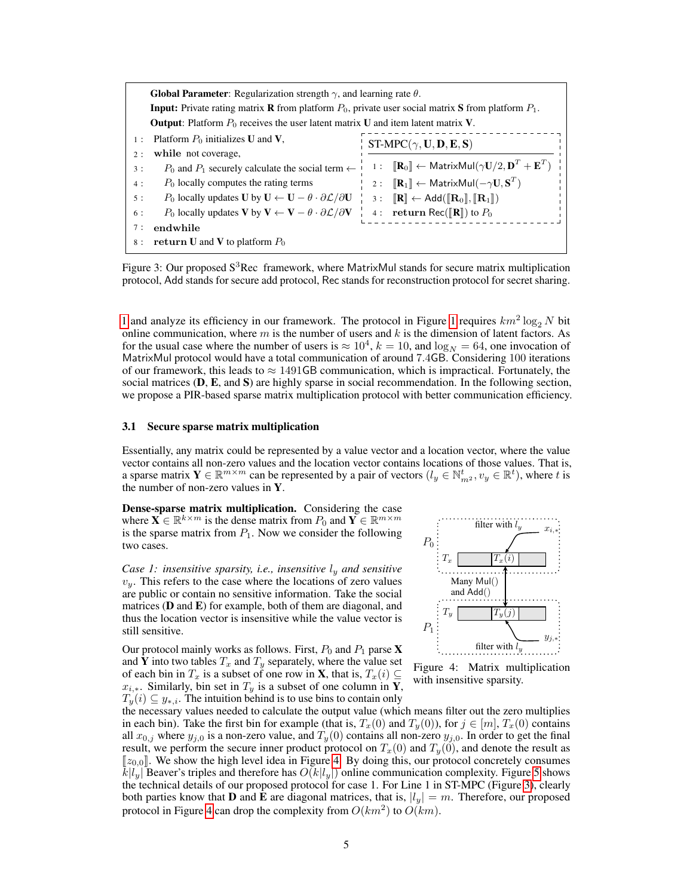<span id="page-4-0"></span>

|       | <b>Global Parameter:</b> Regularization strength $\gamma$ , and learning rate $\theta$ .                                     |  |                                                                                                                       |  |  |  |  |  |  |  |
|-------|------------------------------------------------------------------------------------------------------------------------------|--|-----------------------------------------------------------------------------------------------------------------------|--|--|--|--|--|--|--|
|       | <b>Input:</b> Private rating matrix <b>R</b> from platform $P_0$ , private user social matrix <b>S</b> from platform $P_1$ . |  |                                                                                                                       |  |  |  |  |  |  |  |
|       | <b>Output:</b> Platform $P_0$ receives the user latent matrix U and item latent matrix V.                                    |  |                                                                                                                       |  |  |  |  |  |  |  |
| $1$ : | Platform $P_0$ initializes U and V.<br>$ST-MPC(\gamma, U, D, E, S)$                                                          |  |                                                                                                                       |  |  |  |  |  |  |  |
| 2:    | while not coverage.                                                                                                          |  |                                                                                                                       |  |  |  |  |  |  |  |
| 3:    | $P_0$ and $P_1$ securely calculate the social term $\leftarrow$                                                              |  | 1: $[\mathbf{R}_0] \leftarrow$ MatrixMul $(\gamma \mathbf{U}/2, \mathbf{D}^T + \mathbf{E}^T)$                         |  |  |  |  |  |  |  |
| 4 :   | $P_0$ locally computes the rating terms                                                                                      |  | 2: $[\mathbf{R}_1] \leftarrow$ MatrixMul $(-\gamma \mathbf{U}, \mathbf{S}^T)$                                         |  |  |  |  |  |  |  |
| 5:    | $P_0$ locally updates U by $\mathbf{U} \leftarrow \mathbf{U} - \theta \cdot \partial \mathcal{L}/\partial \mathbf{U}$        |  | $3: \quad [\mathbb{R}] \leftarrow \text{Add}(\llbracket \mathbf{R}_0 \rrbracket, \llbracket \mathbf{R}_1 \rrbracket)$ |  |  |  |  |  |  |  |
| 6 :   | $P_0$ locally updates <b>V</b> by $V \leftarrow V - \theta \cdot \partial \mathcal{L}/\partial V$                            |  | 4: return Rec( $\left[\mathbf{R}\right]$ ) to $P_0$                                                                   |  |  |  |  |  |  |  |
| 7:    | endwhile                                                                                                                     |  |                                                                                                                       |  |  |  |  |  |  |  |
| 8 :   | return U and V to platform $P_0$                                                                                             |  |                                                                                                                       |  |  |  |  |  |  |  |

Figure 3: Our proposed  $S^3$ Rec framework, where MatrixMul stands for secure matrix multiplication protocol, Add stands for secure add protocol, Rec stands for reconstruction protocol for secret sharing.

[1](#page-2-0) and analyze its efficiency in our framework. The protocol in Figure [1](#page-2-0) requires  $km^2 \log_2 N$  bit online communication, where  $m$  is the number of users and  $k$  is the dimension of latent factors. As for the usual case where the number of users is  $\approx 10^4$ ,  $k = 10$ , and  $\log_N = 64$ , one invocation of MatrixMul protocol would have a total communication of around 7.4GB. Considering 100 iterations of our framework, this leads to  $\approx 1491\text{GB}$  communication, which is impractical. Fortunately, the social matrices (D, E, and S) are highly sparse in social recommendation. In the following section, we propose a PIR-based sparse matrix multiplication protocol with better communication efficiency.

#### 3.1 Secure sparse matrix multiplication

Essentially, any matrix could be represented by a value vector and a location vector, where the value vector contains all non-zero values and the location vector contains locations of those values. That is, a sparse matrix  $\mathbf{Y} \in \mathbb{R}^{m \times m}$  can be represented by a pair of vectors  $(l_y \in \mathbb{N}_{m^2}^t, v_y \in \mathbb{R}^t)$ , where t is the number of non-zero values in  $Y$ .

Dense-sparse matrix multiplication. Considering the case where  $\mathbf{X} \in \mathbb{R}^{k \times m}$  is the dense matrix from  $P_0$  and  $\mathbf{Y} \in \mathbb{R}^{m \times m}$ is the sparse matrix from  $P_1$ . Now we consider the following two cases.

*Case 1: insensitive sparsity, i.e., insensitive*  $l_y$  *and sensitive*  $v_y$ . This refers to the case where the locations of zero values are public or contain no sensitive information. Take the social matrices  $(D \text{ and } E)$  for example, both of them are diagonal, and thus the location vector is insensitive while the value vector is still sensitive.

Our protocol mainly works as follows. First,  $P_0$  and  $P_1$  parse **X** and Y into two tables  $T_x$  and  $T_y$  separately, where the value set of each bin in  $T_x$  is a subset of one row in **X**, that is,  $T_x(i) \subseteq$  $x_{i,*}$ . Similarly, bin set in  $T_y$  is a subset of one column in **Y**,  $T_y(i) \subseteq y_{*,i}$ . The intuition behind is to use bins to contain only

<span id="page-4-1"></span>

Figure 4: Matrix multiplication with insensitive sparsity.

the necessary values needed to calculate the output value (which means filter out the zero multiplies in each bin). Take the first bin for example (that is,  $T_x(0)$  and  $T_y(0)$ ), for  $j \in [m]$ ,  $T_x(0)$  contains all  $x_{0,i}$  where  $y_{i,0}$  is a non-zero value, and  $T_u(0)$  contains all non-zero  $y_{i,0}$ . In order to get the final result, we perform the secure inner product protocol on  $T_x(0)$  and  $T_y(0)$ , and denote the result as  $[z_{0.0}]$ . We show the high level idea in Figure [4.](#page-4-1) By doing this, our protocol concretely consumes  $k|l_u|$  Beaver's triples and therefore has  $O(k|l_u|)$  online communication complexity. Figure [5](#page-5-0) shows the technical details of our proposed protocol for case 1. For Line 1 in ST-MPC (Figure [3\)](#page-4-0), clearly both parties know that **D** and **E** are diagonal matrices, that is,  $|l_y| = m$ . Therefore, our proposed protocol in Figure [4](#page-4-1) can drop the complexity from  $O(km^2)$  to  $O(km)$ .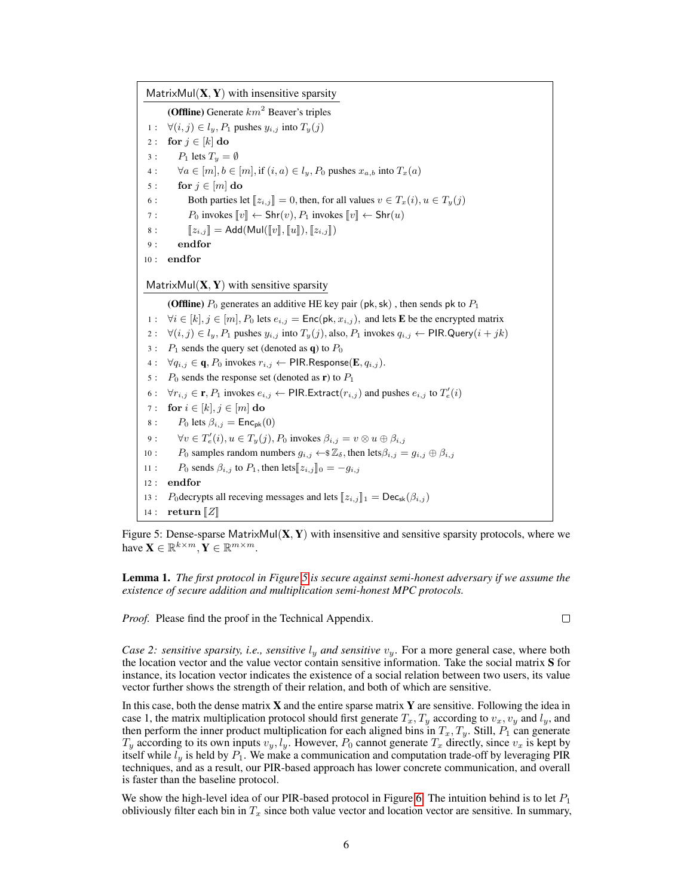<span id="page-5-0"></span>MatrixMul $(X, Y)$  with insensitive sparsity

(Offline) Generate  $km^2$  Beaver's triples 1 : ∀ $(i, j) \in l_y, P_1$  pushes  $y_{i,j}$  into  $T_y(j)$ 2 : for  $j \in [k]$  do

3 :  $P_1$  lets  $T_y = \emptyset$ 

4 :  $\forall a \in [m], b \in [m],$  if  $(i, a) \in l_y, P_0$  pushes  $x_{a,b}$  into  $T_x(a)$ 

5 : for  $j \in [m]$  do

6 : Both parties let  $[z_{i,j}] = 0$ , then, for all values  $v \in T_x(i)$ ,  $u \in T_y(j)$ <br>7 :  $P_0$  invokes  $\llbracket v \rrbracket \leftarrow \text{Shr}(v)$ .  $P_1$  invokes  $\llbracket v \rrbracket \leftarrow \text{Shr}(u)$ 

7 :  $P_0$  invokes  $[v] \leftarrow \text{Shr}(v), P_1$  invokes  $[v] \leftarrow \text{Shr}(u)$ <br>8 :  $[z_{i,j}] = \text{Add}(\text{Mul}([v], [u]), [z_{i,j}])$ 

 $[[z_{i,j}]$  = Add(Mul( $[[v], [[u]]$ ),  $[[z_{i,j}]]$ )

$$
9: \qquad \textbf{end} \quad
$$

10 : endfor

MatrixMul $(X, Y)$  with sensitive sparsity

(Offline)  $P_0$  generates an additive HE key pair (pk, sk), then sends pk to  $P_1$ 

1 :  $\forall i \in [k], j \in [m], P_0$  lets  $e_{i,j} = \text{Enc}(\text{pk}, x_{i,j})$ , and lets **E** be the encrypted matrix

2 :  $\forall (i, j) \in l_y, P_1$  pushes  $y_{i,j}$  into  $T_y(j)$ , also,  $P_1$  invokes  $q_{i,j} \leftarrow$  PIR. Query $(i + jk)$ 

- $3: P_1$  sends the query set (denoted as **q**) to  $P_0$
- 4 :  $\forall q_{i,j} \in \mathbf{q}, P_0$  invokes  $r_{i,j} \leftarrow$  PIR. Response  $(\mathbf{E}, q_{i,j})$ .
- 5 :  $P_0$  sends the response set (denoted as **r**) to  $P_1$
- 6 :  $\forall r_{i,j} \in \mathbf{r}, P_1$  invokes  $e_{i,j} \leftarrow \textsf{PIR}.\textsf{Extract}(r_{i,j})$  and pushes  $e_{i,j}$  to  $T'_e(i)$
- 7 : for  $i \in [k], j \in [m]$  do
- 8 : P<sub>0</sub> lets  $\beta_{i,j} = \text{Enc}_{pk}(0)$
- 9 :  $\forall v \in T'_e(i), u \in T_y(j), P_0$  invokes  $\beta_{i,j} = v \otimes u \oplus \beta_{i,j}$
- 10 : P<sub>0</sub> samples random numbers  $g_{i,j} \leftarrow \mathcal{Z}_{\delta}$ , then lets $\beta_{i,j} = g_{i,j} \oplus \beta_{i,j}$
- 11 :  $P_0$  sends  $\beta_{i,j}$  to  $P_1$ , then lets $[z_{i,j}]_0 = -g_{i,j}$
- 12 : endfor 13 : P<sub>0</sub>decrypts all receving messages and lets  $[z_{i,j}]_1 = \text{Dec}_{\text{sk}}(\beta_{i,j})$
- 14 :  $\operatorname{return} \llbracket Z \rrbracket$

Figure 5: Dense-sparse MatrixMul $(X, Y)$  with insensitive and sensitive sparsity protocols, where we have  $\mathbf{X} \in \mathbb{R}^{k \times m}$ ,  $\mathbf{Y} \in \mathbb{R}^{m \times m}$ .

Lemma 1. *The first protocol in Figure [5](#page-5-0) is secure against semi-honest adversary if we assume the existence of secure addition and multiplication semi-honest MPC protocols.*

*Proof.* Please find the proof in the Technical Appendix.

 $\Box$ 

*Case 2: sensitive sparsity, i.e., sensitive*  $l_y$  *and sensitive*  $v_y$ . For a more general case, where both the location vector and the value vector contain sensitive information. Take the social matrix S for instance, its location vector indicates the existence of a social relation between two users, its value vector further shows the strength of their relation, and both of which are sensitive.

In this case, both the dense matrix  $\bf{X}$  and the entire sparse matrix  $\bf{Y}$  are sensitive. Following the idea in case 1, the matrix multiplication protocol should first generate  $T_x, T_y$  according to  $v_x, v_y$  and  $l_y$ , and then perform the inner product multiplication for each aligned bins in  $T_x, T_y$ . Still,  $P_1$  can generate  $T_y$  according to its own inputs  $v_y, l_y$ . However,  $P_0$  cannot generate  $T_x$  directly, since  $v_x$  is kept by itself while  $l_y$  is held by  $P_1$ . We make a communication and computation trade-off by leveraging PIR techniques, and as a result, our PIR-based approach has lower concrete communication, and overall is faster than the baseline protocol.

We show the high-level idea of our PIR-based protocol in Figure [6.](#page-6-0) The intuition behind is to let  $P_1$ obliviously filter each bin in  $T_x$  since both value vector and location vector are sensitive. In summary,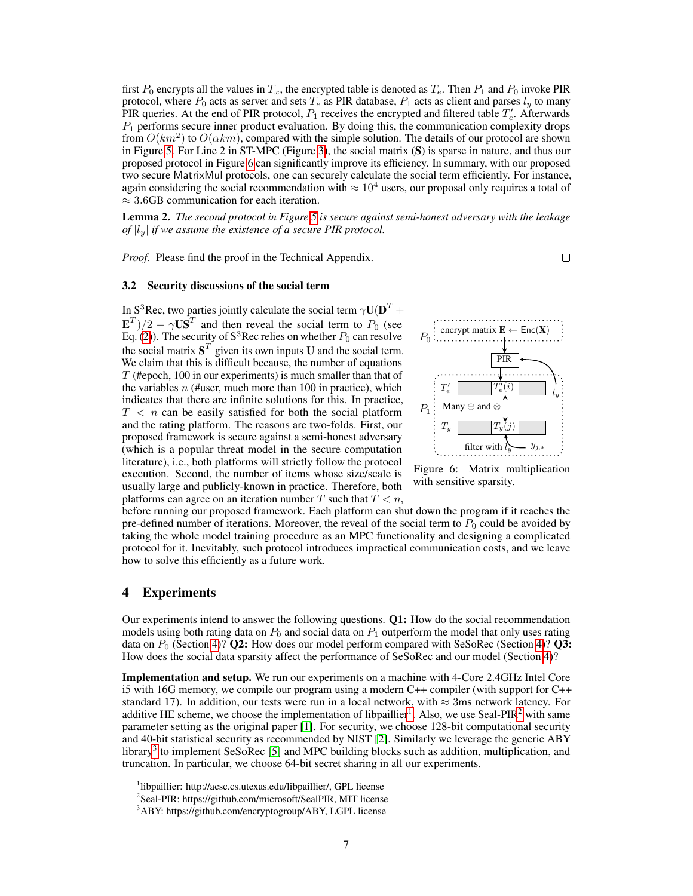first  $P_0$  encrypts all the values in  $T_x$ , the encrypted table is denoted as  $T_e$ . Then  $P_1$  and  $P_0$  invoke PIR protocol, where  $P_0$  acts as server and sets  $T_e$  as PIR database,  $P_1$  acts as client and parses  $l_y$  to many PIR queries. At the end of PIR protocol,  $P_1$  receives the encrypted and filtered table  $T'_e$ . Afterwards  $P_1$  performs secure inner product evaluation. By doing this, the communication complexity drops from  $O(km^2)$  to  $O(\alpha k m)$ , compared with the simple solution. The details of our protocol are shown in Figure [5.](#page-5-0) For Line 2 in ST-MPC (Figure [3\)](#page-4-0), the social matrix (S) is sparse in nature, and thus our proposed protocol in Figure [6](#page-6-0) can significantly improve its efficiency. In summary, with our proposed two secure MatrixMul protocols, one can securely calculate the social term efficiently. For instance, again considering the social recommendation with  $\approx 10^4$  users, our proposal only requires a total of  $\approx$  3.6GB communication for each iteration.

Lemma 2. *The second protocol in Figure [5](#page-5-0) is secure against semi-honest adversary with the leakage of*  $|l_y|$  *if we assume the existence of a secure PIR protocol.* 

*Proof.* Please find the proof in the Technical Appendix.

#### 3.2 Security discussions of the social term

In S<sup>3</sup>Rec, two parties jointly calculate the social term  $\gamma \mathbf{U}(\mathbf{D}^T + \mathbf{D})$  $\mathbf{E}^T)/2 - \gamma \mathbf{U} \mathbf{S}^T$  and then reveal the social term to  $P_0$  (see Eq. [\(2\)](#page-3-1)). The security of  $S^3$ Rec relies on whether  $P_0$  can resolve the social matrix  $S<sup>T</sup>$  given its own inputs U and the social term. We claim that this is difficult because, the number of equations  $T$  (#epoch, 100 in our experiments) is much smaller than that of the variables  $n$  (#user, much more than 100 in practice), which indicates that there are infinite solutions for this. In practice,  $T < n$  can be easily satisfied for both the social platform and the rating platform. The reasons are two-folds. First, our proposed framework is secure against a semi-honest adversary (which is a popular threat model in the secure computation literature), i.e., both platforms will strictly follow the protocol execution. Second, the number of items whose size/scale is usually large and publicly-known in practice. Therefore, both platforms can agree on an iteration number T such that  $T < n$ ,

<span id="page-6-0"></span>

Figure 6: Matrix multiplication with sensitive sparsity.

before running our proposed framework. Each platform can shut down the program if it reaches the pre-defined number of iterations. Moreover, the reveal of the social term to  $P_0$  could be avoided by taking the whole model training procedure as an MPC functionality and designing a complicated protocol for it. Inevitably, such protocol introduces impractical communication costs, and we leave how to solve this efficiently as a future work.

## 4 Experiments

Our experiments intend to answer the following questions.  $Q1$ : How do the social recommendation models using both rating data on  $P_0$  and social data on  $P_1$  outperform the model that only uses rating data on  $P_0$  (Section [4\)](#page-8-0)? **Q2:** How does our model perform compared with SeSoRec (Section 4)? **Q3:** How does the social data sparsity affect the performance of SeSoRec and our model (Section [4\)](#page-8-0)?

Implementation and setup. We run our experiments on a machine with 4-Core 2.4GHz Intel Core i5 with 16G memory, we compile our program using a modern C++ compiler (with support for C++ standard 17). In addition, our tests were run in a local network, with  $\approx$  3ms network latency. For additive HE scheme, we choose the implementation of libpaillier<sup>[1](#page-6-1)</sup>. Also, we use Seal-PIR<sup>[2](#page-6-2)</sup> with same parameter setting as the original paper [\[1\]](#page-9-8). For security, we choose 128-bit computational security and 40-bit statistical security as recommended by NIST [\[2\]](#page-9-11). Similarly we leverage the generic ABY library<sup>[3](#page-6-3)</sup> to implement SeSoRec [\[5\]](#page-9-1) and MPC building blocks such as addition, multiplication, and truncation. In particular, we choose 64-bit secret sharing in all our experiments.

<span id="page-6-1"></span><sup>1</sup> libpaillier: http://acsc.cs.utexas.edu/libpaillier/, GPL license

<span id="page-6-2"></span><sup>&</sup>lt;sup>2</sup>Seal-PIR: https://github.com/microsoft/SealPIR, MIT license

<span id="page-6-3"></span><sup>3</sup>ABY: https://github.com/encryptogroup/ABY, LGPL license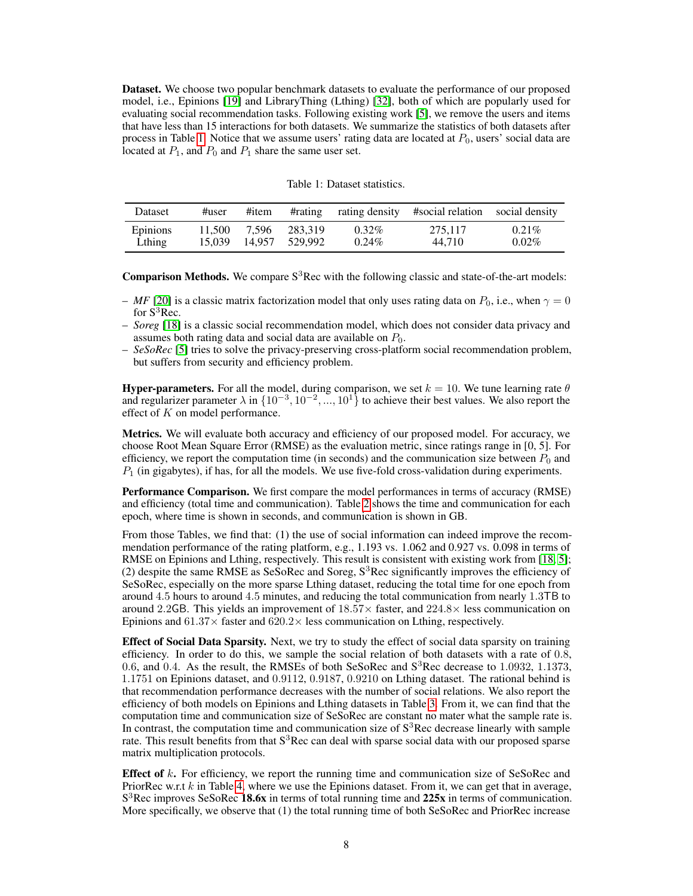Dataset. We choose two popular benchmark datasets to evaluate the performance of our proposed model, i.e., Epinions [\[19\]](#page-10-10) and LibraryThing (Lthing) [\[32\]](#page-10-7), both of which are popularly used for evaluating social recommendation tasks. Following existing work [\[5\]](#page-9-1), we remove the users and items that have less than 15 interactions for both datasets. We summarize the statistics of both datasets after process in Table [1.](#page-7-0) Notice that we assume users' rating data are located at  $P_0$ , users' social data are located at  $P_1$ , and  $P_0$  and  $P_1$  share the same user set.

Table 1: Dataset statistics.

<span id="page-7-0"></span>

| Dataset  | #user  | #item  | #rating | rating density | #social relation social density |          |
|----------|--------|--------|---------|----------------|---------------------------------|----------|
| Epinions | 11.500 | 7.596  | 283.319 | $0.32\%$       | 275.117                         | $0.21\%$ |
| Lthing   | 15.039 | 14.957 | 529.992 | $0.24\%$       | 44.710                          | $0.02\%$ |

**Comparison Methods.** We compare  $S^3$  Rec with the following classic and state-of-the-art models:

- $-$  *MF* [\[20\]](#page-10-12) is a classic matrix factorization model that only uses rating data on  $P_0$ , i.e., when  $\gamma = 0$ for  $S^3$ Rec.
- *Soreg* [\[18\]](#page-10-3) is a classic social recommendation model, which does not consider data privacy and assumes both rating data and social data are available on  $P_0$ .
- *SeSoRec* [\[5\]](#page-9-1) tries to solve the privacy-preserving cross-platform social recommendation problem, but suffers from security and efficiency problem.

**Hyper-parameters.** For all the model, during comparison, we set  $k = 10$ . We tune learning rate  $\theta$ and regularizer parameter  $\lambda$  in  $\{10^{-3}, 10^{-2}, ..., 10^{1}\}$  to achieve their best values. We also report the effect of K on model performance.

Metrics. We will evaluate both accuracy and efficiency of our proposed model. For accuracy, we choose Root Mean Square Error (RMSE) as the evaluation metric, since ratings range in [0, 5]. For efficiency, we report the computation time (in seconds) and the communication size between  $P_0$  and  $P_1$  (in gigabytes), if has, for all the models. We use five-fold cross-validation during experiments.

Performance Comparison. We first compare the model performances in terms of accuracy (RMSE) and efficiency (total time and communication). Table [2](#page-8-1) shows the time and communication for each epoch, where time is shown in seconds, and communication is shown in GB.

From those Tables, we find that: (1) the use of social information can indeed improve the recommendation performance of the rating platform, e.g., 1.193 vs. 1.062 and 0.927 vs. 0.098 in terms of RMSE on Epinions and Lthing, respectively. This result is consistent with existing work from [\[18,](#page-10-3) [5\]](#page-9-1); (2) despite the same RMSE as SeSoRec and Soreg,  $S<sup>3</sup>$ Rec significantly improves the efficiency of SeSoRec, especially on the more sparse Lthing dataset, reducing the total time for one epoch from around 4.5 hours to around 4.5 minutes, and reducing the total communication from nearly 1.3TB to around 2.2GB. This yields an improvement of  $18.57\times$  faster, and  $224.8\times$  less communication on Epinions and  $61.37\times$  faster and  $620.2\times$  less communication on Lthing, respectively.

**Effect of Social Data Sparsity.** Next, we try to study the effect of social data sparsity on training efficiency. In order to do this, we sample the social relation of both datasets with a rate of 0.8, 0.6, and 0.4. As the result, the RMSEs of both SeSoRec and  $S<sup>3</sup>$ Rec decrease to 1.0932, 1.1373, 1.1751 on Epinions dataset, and 0.9112, 0.9187, 0.9210 on Lthing dataset. The rational behind is that recommendation performance decreases with the number of social relations. We also report the efficiency of both models on Epinions and Lthing datasets in Table [3.](#page-8-0) From it, we can find that the computation time and communication size of SeSoRec are constant no mater what the sample rate is. In contrast, the computation time and communication size of  $S<sup>3</sup>$ Rec decrease linearly with sample rate. This result benefits from that  $S<sup>3</sup>$ Rec can deal with sparse social data with our proposed sparse matrix multiplication protocols.

**Effect of**  $k$ . For efficiency, we report the running time and communication size of SeSoRec and PriorRec w.r.t  $k$  in Table [4,](#page-8-2) where we use the Epinions dataset. From it, we can get that in average, S<sup>3</sup>Rec improves SeSoRec 18.6x in terms of total running time and 225x in terms of communication. More specifically, we observe that (1) the total running time of both SeSoRec and PriorRec increase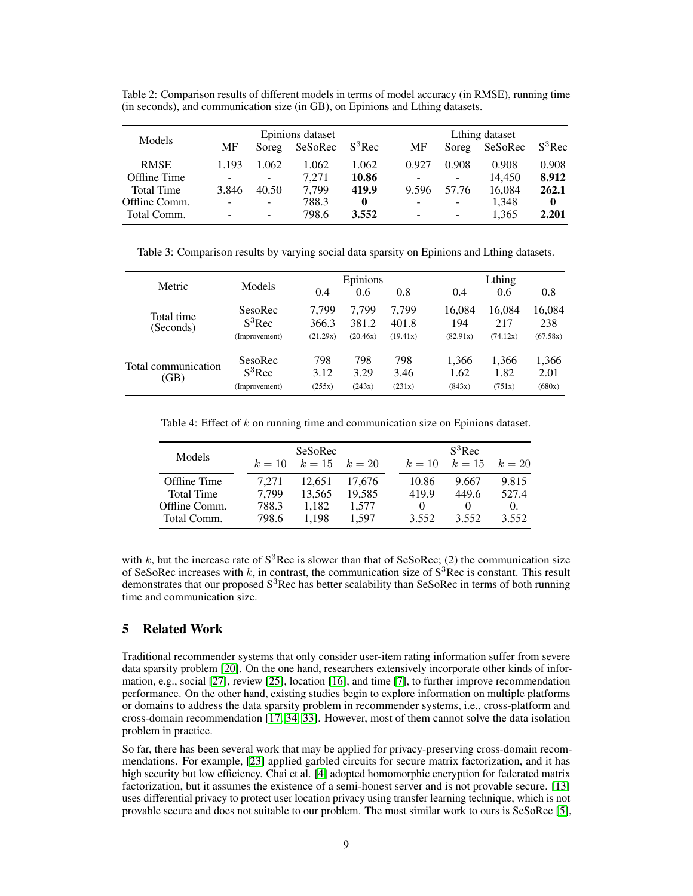<span id="page-8-1"></span>Table 2: Comparison results of different models in terms of model accuracy (in RMSE), running time (in seconds), and communication size (in GB), on Epinions and Lthing datasets.

| Models            | Epinions dataset         |                          |         |           | Lthing dataset           |       |         |              |
|-------------------|--------------------------|--------------------------|---------|-----------|--------------------------|-------|---------|--------------|
|                   | MF                       | Soreg                    | SeSoRec | $S^3$ Rec | MF                       | Soreg | SeSoRec | $S^3$ Rec    |
| <b>RMSE</b>       | 1.193                    | 1.062                    | 1.062   | 1.062     | 0.927                    | 0.908 | 0.908   | 0.908        |
| Offline Time      | $\overline{\phantom{a}}$ | -                        | 7.271   | 10.86     | $\overline{a}$           | -     | 14,450  | 8.912        |
| <b>Total Time</b> | 3.846                    | 40.50                    | 7.799   | 419.9     | 9.596                    | 57.76 | 16.084  | 262.1        |
| Offline Comm.     |                          | ۰                        | 788.3   | $\bf{0}$  | $\overline{\phantom{a}}$ | -     | 1.348   | $\mathbf{0}$ |
| Total Comm.       |                          | $\overline{\phantom{0}}$ | 798.6   | 3.552     | $\overline{\phantom{a}}$ | -     | 1.365   | 2.201        |

<span id="page-8-0"></span>Table 3: Comparison results by varying social data sparsity on Epinions and Lthing datasets.

| Metric              | Models        |          | Epinions |          |          | Lthing   |          |  |
|---------------------|---------------|----------|----------|----------|----------|----------|----------|--|
|                     |               | 0.4      | 0.6      | 0.8      | 0.4      | 0.6      | 0.8      |  |
| Total time          | SesoRec       | 7.799    | 7.799    | 7.799    | 16,084   | 16,084   | 16,084   |  |
| (Seconds)           | $S^3$ Rec     | 366.3    | 381.2    | 401.8    | 194      | 217      | 238      |  |
|                     | (Improvement) | (21.29x) | (20.46x) | (19.41x) | (82.91x) | (74.12x) | (67.58x) |  |
| Total communication | SesoRec       | 798      | 798      | 798      | 1,366    | 1,366    | 1,366    |  |
| (GB)                | $S^3$ Rec     | 3.12     | 3.29     | 3.46     | 1.62     | 1.82     | 2.01     |  |
|                     | (Improvement) | (255x)   | (243x)   | (231x)   | (843x)   | (751x)   | (680x)   |  |

<span id="page-8-2"></span>Table 4: Effect of  $k$  on running time and communication size on Epinions dataset.

|        | SeSoRec |        |                   |          | $S^3$ Rec |                   |
|--------|---------|--------|-------------------|----------|-----------|-------------------|
| $k=10$ |         |        |                   | $k=10$   |           |                   |
| 7.271  | 12.651  | 17.676 |                   | 10.86    | 9.667     | 9.815             |
| 7.799  | 13.565  | 19.585 |                   | 419.9    | 449.6     | 527.4             |
| 788.3  | 1.182   | 1.577  |                   | $\theta$ |           | $\Omega$ .        |
| 798.6  | 1.198   | 1.597  |                   | 3.552    | 3.552     | 3.552             |
|        |         |        | $k = 15$ $k = 20$ |          |           | $k = 15$ $k = 20$ |

with k, but the increase rate of  $S^3$ Rec is slower than that of SeSoRec; (2) the communication size of SeSoRec increases with k, in contrast, the communication size of  $S<sup>3</sup>$ Rec is constant. This result demonstrates that our proposed  $S<sup>3</sup>$ Rec has better scalability than SeSoRec in terms of both running time and communication size.

## 5 Related Work

Traditional recommender systems that only consider user-item rating information suffer from severe data sparsity problem [\[20\]](#page-10-12). On the one hand, researchers extensively incorporate other kinds of information, e.g., social [\[27\]](#page-10-4), review [\[25\]](#page-10-13), location [\[16\]](#page-10-14), and time [\[7\]](#page-9-12), to further improve recommendation performance. On the other hand, existing studies begin to explore information on multiple platforms or domains to address the data sparsity problem in recommender systems, i.e., cross-platform and cross-domain recommendation [\[17,](#page-10-15) [34,](#page-10-16) [33\]](#page-10-17). However, most of them cannot solve the data isolation problem in practice.

So far, there has been several work that may be applied for privacy-preserving cross-domain recommendations. For example, [\[23\]](#page-10-18) applied garbled circuits for secure matrix factorization, and it has high security but low efficiency. Chai et al. [\[4\]](#page-9-13) adopted homomorphic encryption for federated matrix factorization, but it assumes the existence of a semi-honest server and is not provable secure. [\[13\]](#page-9-14) uses differential privacy to protect user location privacy using transfer learning technique, which is not provable secure and does not suitable to our problem. The most similar work to ours is SeSoRec [\[5\]](#page-9-1),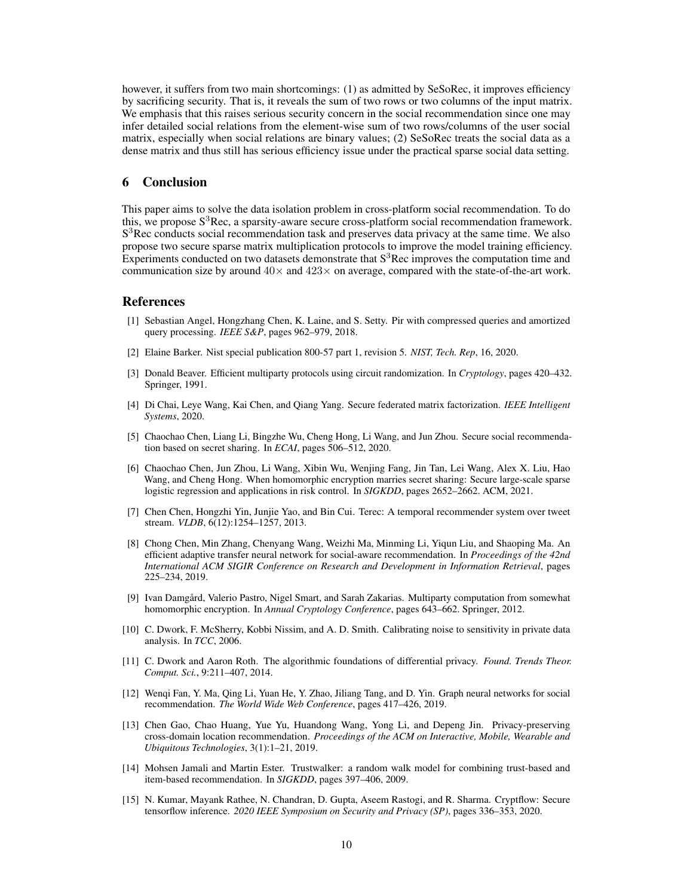however, it suffers from two main shortcomings: (1) as admitted by SeSoRec, it improves efficiency by sacrificing security. That is, it reveals the sum of two rows or two columns of the input matrix. We emphasis that this raises serious security concern in the social recommendation since one may infer detailed social relations from the element-wise sum of two rows/columns of the user social matrix, especially when social relations are binary values; (2) SeSoRec treats the social data as a dense matrix and thus still has serious efficiency issue under the practical sparse social data setting.

## 6 Conclusion

This paper aims to solve the data isolation problem in cross-platform social recommendation. To do this, we propose  $S<sup>3</sup>$ Rec, a sparsity-aware secure cross-platform social recommendation framework. S<sup>3</sup>Rec conducts social recommendation task and preserves data privacy at the same time. We also propose two secure sparse matrix multiplication protocols to improve the model training efficiency. Experiments conducted on two datasets demonstrate that  $S<sup>3</sup>$ Rec improves the computation time and communication size by around  $40\times$  and  $423\times$  on average, compared with the state-of-the-art work.

## **References**

- <span id="page-9-8"></span>[1] Sebastian Angel, Hongzhang Chen, K. Laine, and S. Setty. Pir with compressed queries and amortized query processing. *IEEE S&P*, pages 962–979, 2018.
- <span id="page-9-11"></span>[2] Elaine Barker. Nist special publication 800-57 part 1, revision 5. *NIST, Tech. Rep*, 16, 2020.
- <span id="page-9-7"></span>[3] Donald Beaver. Efficient multiparty protocols using circuit randomization. In *Cryptology*, pages 420–432. Springer, 1991.
- <span id="page-9-13"></span>[4] Di Chai, Leye Wang, Kai Chen, and Qiang Yang. Secure federated matrix factorization. *IEEE Intelligent Systems*, 2020.
- <span id="page-9-1"></span>[5] Chaochao Chen, Liang Li, Bingzhe Wu, Cheng Hong, Li Wang, and Jun Zhou. Secure social recommendation based on secret sharing. In *ECAI*, pages 506–512, 2020.
- <span id="page-9-6"></span>[6] Chaochao Chen, Jun Zhou, Li Wang, Xibin Wu, Wenjing Fang, Jin Tan, Lei Wang, Alex X. Liu, Hao Wang, and Cheng Hong. When homomorphic encryption marries secret sharing: Secure large-scale sparse logistic regression and applications in risk control. In *SIGKDD*, pages 2652–2662. ACM, 2021.
- <span id="page-9-12"></span>[7] Chen Chen, Hongzhi Yin, Junjie Yao, and Bin Cui. Terec: A temporal recommender system over tweet stream. *VLDB*, 6(12):1254-1257, 2013.
- <span id="page-9-5"></span>[8] Chong Chen, Min Zhang, Chenyang Wang, Weizhi Ma, Minming Li, Yiqun Liu, and Shaoping Ma. An efficient adaptive transfer neural network for social-aware recommendation. In *Proceedings of the 42nd International ACM SIGIR Conference on Research and Development in Information Retrieval*, pages 225–234, 2019.
- <span id="page-9-2"></span>[9] Ivan Damgård, Valerio Pastro, Nigel Smart, and Sarah Zakarias. Multiparty computation from somewhat homomorphic encryption. In *Annual Cryptology Conference*, pages 643–662. Springer, 2012.
- <span id="page-9-4"></span>[10] C. Dwork, F. McSherry, Kobbi Nissim, and A. D. Smith. Calibrating noise to sensitivity in private data analysis. In *TCC*, 2006.
- <span id="page-9-3"></span>[11] C. Dwork and Aaron Roth. The algorithmic foundations of differential privacy. *Found. Trends Theor. Comput. Sci.*, 9:211–407, 2014.
- <span id="page-9-0"></span>[12] Wenqi Fan, Y. Ma, Qing Li, Yuan He, Y. Zhao, Jiliang Tang, and D. Yin. Graph neural networks for social recommendation. *The World Wide Web Conference*, pages 417–426, 2019.
- <span id="page-9-14"></span>[13] Chen Gao, Chao Huang, Yue Yu, Huandong Wang, Yong Li, and Depeng Jin. Privacy-preserving cross-domain location recommendation. *Proceedings of the ACM on Interactive, Mobile, Wearable and Ubiquitous Technologies*, 3(1):1–21, 2019.
- <span id="page-9-10"></span>[14] Mohsen Jamali and Martin Ester. Trustwalker: a random walk model for combining trust-based and item-based recommendation. In *SIGKDD*, pages 397–406, 2009.
- <span id="page-9-9"></span>[15] N. Kumar, Mayank Rathee, N. Chandran, D. Gupta, Aseem Rastogi, and R. Sharma. Cryptflow: Secure tensorflow inference. *2020 IEEE Symposium on Security and Privacy (SP)*, pages 336–353, 2020.